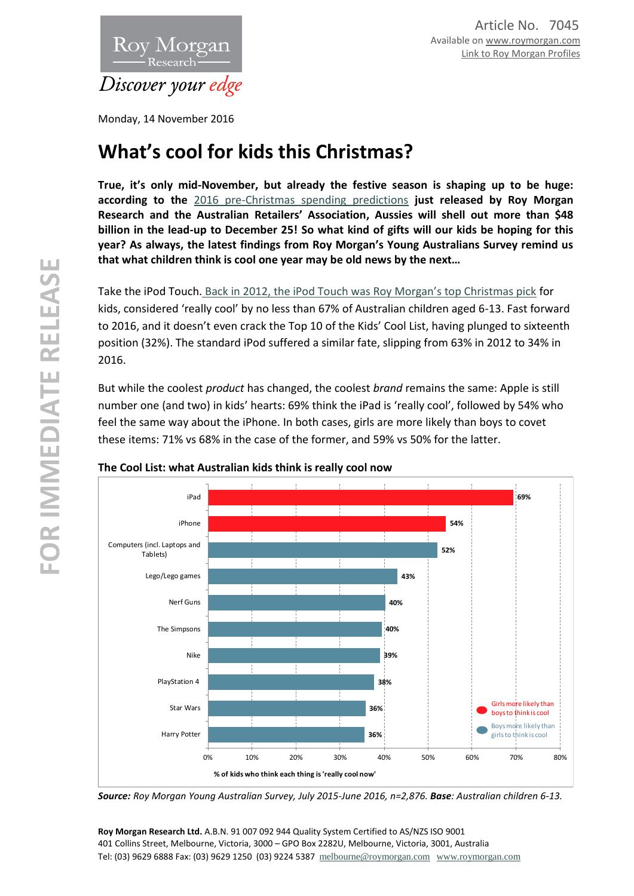

Monday, 14 November 2016

# **What's cool for kids this Christmas?**

**True, it's only mid-November, but already the festive season is shaping up to be huge: according to the** [2016 pre-Christmas spending predictions](http://retail.org.au/news-posts/australian-shoppers-to-spend-48-1-billion-this-christmas/) **just released by Roy Morgan Research and the Australian Retailers' Association, Aussies will shell out more than \$48 billion in the lead-up to December 25! So what kind of gifts will our kids be hoping for this year? As always, the latest findings from Roy Morgan's Young Australians Survey remind us that what children think is cool one year may be old news by the next…**

Take the iPod Touch. [Back in 2012, the iPod Touch was Roy Morgan's top Christmas pick](http://www.roymorgan.com.au/findings/finding-1891-201304220218) for kids, considered 'really cool' by no less than 67% of Australian children aged 6-13. Fast forward to 2016, and it doesn't even crack the Top 10 of the Kids' Cool List, having plunged to sixteenth position (32%). The standard iPod suffered a similar fate, slipping from 63% in 2012 to 34% in 2016.

But while the coolest *product* has changed, the coolest *brand* remains the same: Apple is still number one (and two) in kids' hearts: 69% think the iPad is 'really cool', followed by 54% who feel the same way about the iPhone. In both cases, girls are more likely than boys to covet these items: 71% vs 68% in the case of the former, and 59% vs 50% for the latter.



## **The Cool List: what Australian kids think is really cool now**

*Source: Roy Morgan Young Australian Survey, July 2015-June 2016, n=2,876. Base: Australian children 6-13.*

**Roy Morgan Research Ltd.** A.B.N. 91 007 092 944 Quality System Certified to AS/NZS ISO 9001 401 Collins Street, Melbourne, Victoria, 3000 – GPO Box 2282U, Melbourne, Victoria, 3001, Australia Tel: (03) 9629 6888 Fax: (03) 9629 1250 (03) 9224 5387 [melbourne@roymorgan.com](mailto:melbourne@roymorgan.com) [www.roymorgan.com](http://www.roymorgan.com/)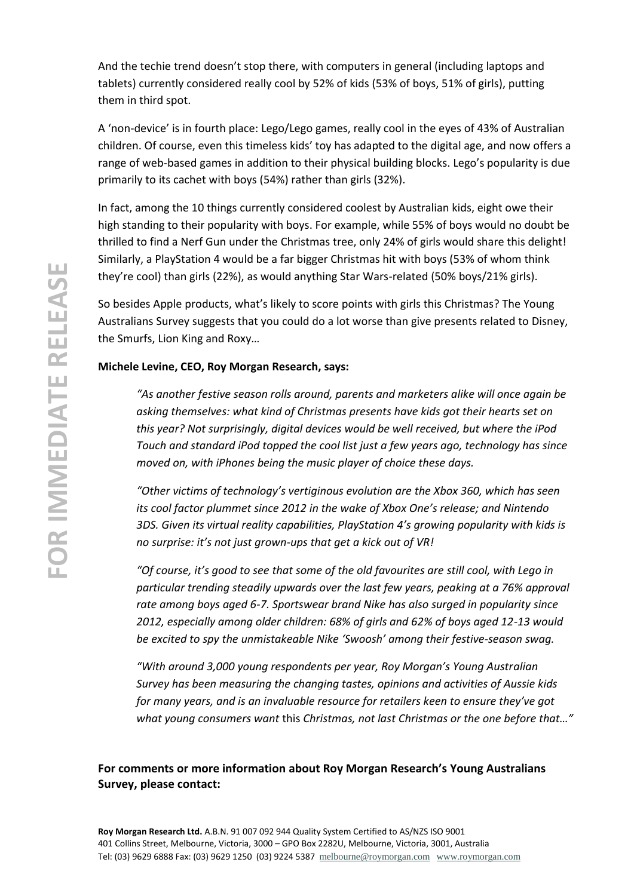And the techie trend doesn't stop there, with computers in general (including laptops and tablets) currently considered really cool by 52% of kids (53% of boys, 51% of girls), putting them in third spot.

A 'non-device' is in fourth place: Lego/Lego games, really cool in the eyes of 43% of Australian children. Of course, even this timeless kids' toy has adapted to the digital age, and now offers a range of web-based games in addition to their physical building blocks. Lego's popularity is due primarily to its cachet with boys (54%) rather than girls (32%).

In fact, among the 10 things currently considered coolest by Australian kids, eight owe their high standing to their popularity with boys. For example, while 55% of boys would no doubt be thrilled to find a Nerf Gun under the Christmas tree, only 24% of girls would share this delight! Similarly, a PlayStation 4 would be a far bigger Christmas hit with boys (53% of whom think they're cool) than girls (22%), as would anything Star Wars-related (50% boys/21% girls).

So besides Apple products, what's likely to score points with girls this Christmas? The Young Australians Survey suggests that you could do a lot worse than give presents related to Disney, the Smurfs, Lion King and Roxy…

## **Michele Levine, CEO, Roy Morgan Research, says:**

*"As another festive season rolls around, parents and marketers alike will once again be asking themselves: what kind of Christmas presents have kids got their hearts set on this year? Not surprisingly, digital devices would be well received, but where the iPod Touch and standard iPod topped the cool list just a few years ago, technology has since moved on, with iPhones being the music player of choice these days.* 

*"Other victims of technology's vertiginous evolution are the Xbox 360, which has seen its cool factor plummet since 2012 in the wake of Xbox One's release; and Nintendo 3DS. Given its virtual reality capabilities, PlayStation 4's growing popularity with kids is no surprise: it's not just grown-ups that get a kick out of VR!*

*"Of course, it's good to see that some of the old favourites are still cool, with Lego in particular trending steadily upwards over the last few years, peaking at a 76% approval rate among boys aged 6-7. Sportswear brand Nike has also surged in popularity since 2012, especially among older children: 68% of girls and 62% of boys aged 12-13 would be excited to spy the unmistakeable Nike 'Swoosh' among their festive-season swag.*

*"With around 3,000 young respondents per year, Roy Morgan's Young Australian Survey has been measuring the changing tastes, opinions and activities of Aussie kids for many years, and is an invaluable resource for retailers keen to ensure they've got what young consumers want* this *Christmas, not last Christmas or the one before that…"*

# **For comments or more information about Roy Morgan Research's Young Australians Survey, please contact:**